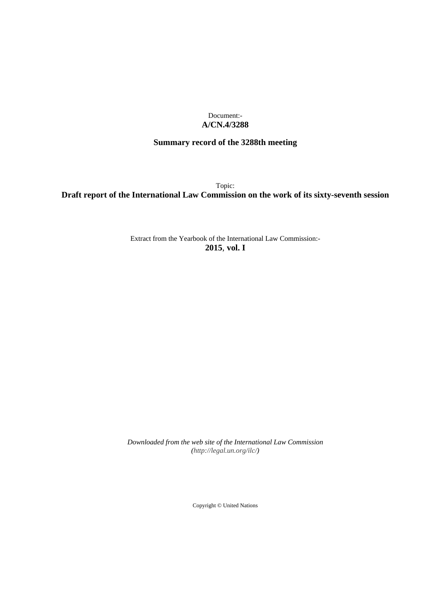Document:- **A/CN.4/3288**

# **Summary record of the 3288th meeting**

Topic: **Draft report of the International Law Commission on the work of its sixty-seventh session**

> Extract from the Yearbook of the International Law Commission:- **2015**, **vol. I**

*Downloaded from the web site of the International Law Commission [\(http://legal.un.org/ilc/\)](http://legal.un.org/ilc/)*

Copyright © United Nations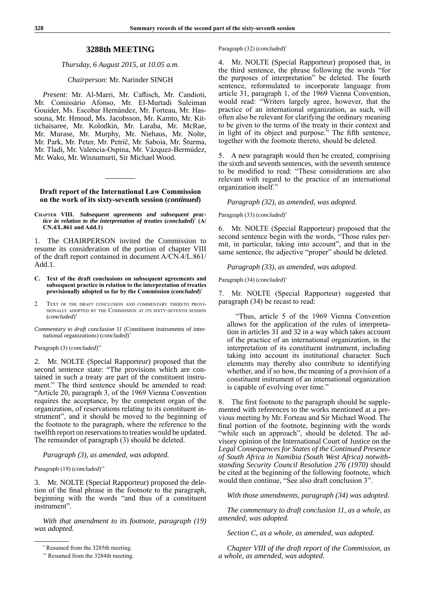### **3288th MEETING**

### *Thursday, 6 August 2015, at 10.05 a.m.*

### *Chairperson*: Mr. Narinder SINGH

*Present*: Mr. Al-Marri, Mr. Caflisch, Mr. Candioti, Mr. Comissário Afonso, Mr. El-Murtadi Suleiman Gouider, Ms. Escobar Hernández, Mr. Forteau, Mr. Hassouna, Mr. Hmoud, Ms. Jacobsson, Mr. Kamto, Mr. Kittichaisaree, Mr. Kolodkin, Mr. Laraba, Mr. McRae, Mr. Murase, Mr. Murphy, Mr. Niehaus, Mr. Nolte, Mr. Park, Mr. Peter, Mr. Petrič, Mr. Saboia, Mr. Šturma, Mr. Tladi, Mr. Valencia-Ospina, Mr. Vázquez-Bermúdez, Mr. Wako, Mr. Wisnumurti, Sir Michael Wood.

### **Draft report of the International Law Commission on the work of its sixty-seventh session (***continued***)**

**Chapter VIII.** *Subsequent agreements and subsequent practice in relation to the interpretation of treaties* **(***concluded***)** \*  **(A/ CN.4/L.861 and Add.1)** 

1. The CHAIRPERSON invited the Commission to resume its consideration of the portion of chapter VIII of the draft report contained in document A/CN.4/L.861/ Add.1.

- **C. Text of the draft conclusions on subsequent agreements and subsequent practice in relation to the interpretation of treaties provisionally adopted so far by the Commission (***concluded***)**\*
- 2. Text of the draft conclusion and commentary thereto provisionally adopted by the Commission at its sixty-seventh session (*concluded*)\*

*Commentary to draft conclusion 11* (Constituent instruments of international organizations) (*concluded*)\*

#### Paragraph (3) (*concluded*)<sup>\*\*</sup>

2. Mr. NOLTE (Special Rapporteur) proposed that the second sentence state: "The provisions which are contained in such a treaty are part of the constituent instrument." The third sentence should be amended to read: "Article 20, paragraph 3, of the 1969 Vienna Convention requires the acceptance, by the competent organ of the organization, of reservations relating to its constituent instrument", and it should be moved to the beginning of the footnote to the paragraph, where the reference to the twelfth report on reservations to treaties would be updated. The remainder of paragraph (3) should be deleted.

### *Paragraph (3), as amended, was adopted.*

#### Paragraph (19) (*concluded*)\*\*

3. Mr. NOLTE (Special Rapporteur) proposed the deletion of the final phrase in the footnote to the paragraph, beginning with the words "and thus of a constituent instrument".

*With that amendment to its footnote, paragraph (19) was adopted.*

#### Paragraph (32) (*concluded*) \*

4. Mr. NOLTE (Special Rapporteur) proposed that, in the third sentence, the phrase following the words "for the purposes of interpretation" be deleted. The fourth sentence, reformulated to incorporate language from article 31, paragraph 1, of the 1969 Vienna Convention, would read: "Writers largely agree, however, that the practice of an international organization, as such, will often also be relevant for clarifying the ordinary meaning to be given to the terms of the treaty in their context and in light of its object and purpose." The fifth sentence, together with the footnote thereto, should be deleted.

5. A new paragraph would then be created, comprising the sixth and seventh sentences, with the seventh sentence to be modified to read: "These considerations are also relevant with regard to the practice of an international organization itself."

*Paragraph (32), as amended, was adopted.*

#### Paragraph (33) (*concluded*)\*

6. Mr. NOLTE (Special Rapporteur) proposed that the second sentence begin with the words, "Those rules permit, in particular, taking into account", and that in the same sentence, the adjective "proper" should be deleted.

*Paragraph (33), as amended, was adopted.* 

Paragraph (34) (*concluded*)\*

7. Mr. NOLTE (Special Rapporteur) suggested that paragraph (34) be recast to read:

"Thus, article 5 of the 1969 Vienna Convention allows for the application of the rules of interpretation in articles 31 and 32 in a way which takes account of the practice of an international organization, in the interpretation of its constituent instrument, including taking into account its institutional character. Such elements may thereby also contribute to identifying whether, and if so how, the meaning of a provision of a constituent instrument of an international organization is capable of evolving over time."

The first footnote to the paragraph should be supplemented with references to the works mentioned at a previous meeting by Mr. Forteau and Sir Michael Wood. The final portion of the footnote, beginning with the words "while such an approach", should be deleted. The advisory opinion of the International Court of Justice on the *Legal Consequences for States of the Continued Presence of South Africa in Namibia (South West Africa) notwithstanding Security Council Resolution 276 (1970)* should be cited at the beginning of the following footnote, which would then continue, "See also draft conclusion 3".

*With those amendments, paragraph (34) was adopted.*

*The commentary to draft conclusion 11, as a whole, as amended, was adopted.*

*Section C, as a whole, as amended, was adopted.*

*Chapter VIII of the draft report of the Commission, as a whole, as amended, was adopted.*

<sup>\*</sup> Resumed from the 3285th meeting.

<sup>\*\*</sup> Resumed from the 3284th meeting.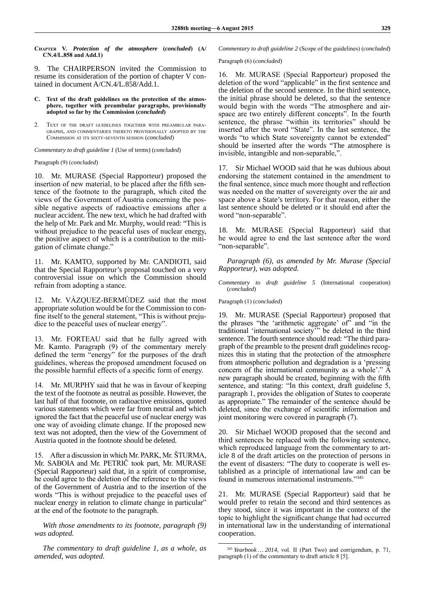**Chapter V.** *Protection of the atmosphere* **(***concluded***) (A/ CN.4/L.858 and Add.1)** 

9. The CHAIRPERSON invited the Commission to resume its consideration of the portion of chapter V contained in document A/CN.4/L.858/Add.1.

#### **C. Text of the draft guidelines on the protection of the atmosphere, together with preambular paragraphs, provisionally adopted so far by the Commission (***concluded***)**

2. Text of the draft guidelines together with preambular paragraphs, and commentaries thereto provisionally adopted by the Commission at its sixty-seventh session (*concluded*)

*Commentary to draft guideline 1* (Use of terms) (*concluded*)

Paragraph (9) (*concluded*)

10. Mr. MURASE (Special Rapporteur) proposed the insertion of new material, to be placed after the fifth sentence of the footnote to the paragraph, which cited the views of the Government of Austria concerning the possible negative aspects of radioactive emissions after a nuclear accident. The new text, which he had drafted with the help of Mr. Park and Mr. Murphy, would read: "This is without prejudice to the peaceful uses of nuclear energy, the positive aspect of which is a contribution to the mitigation of climate change."

11. Mr. KAMTO, supported by Mr. CANDIOTI, said that the Special Rapporteur's proposal touched on a very controversial issue on which the Commission should refrain from adopting a stance.

12. Mr. VÁZQUEZ-BERMÚDEZ said that the most appropriate solution would be for the Commission to confine itself to the general statement, "This is without prejudice to the peaceful uses of nuclear energy".

13. Mr. FORTEAU said that he fully agreed with Mr. Kamto. Paragraph (9) of the commentary merely defined the term "energy" for the purposes of the draft guidelines, whereas the proposed amendment focused on the possible harmful effects of a specific form of energy.

14. Mr. MURPHY said that he was in favour of keeping the text of the footnote as neutral as possible. However, the last half of that footnote, on radioactive emissions, quoted various statements which were far from neutral and which ignored the fact that the peaceful use of nuclear energy was one way of avoiding climate change. If the proposed new text was not adopted, then the view of the Government of Austria quoted in the footnote should be deleted.

15. After a discussion in which Mr. PARK, Mr. ŠTURMA, Mr. SABOIA and Mr. PETRIČ took part, Mr. MURASE (Special Rapporteur) said that, in a spirit of compromise, he could agree to the deletion of the reference to the views of the Government of Austria and to the insertion of the words "This is without prejudice to the peaceful uses of nuclear energy in relation to climate change in particular" at the end of the footnote to the paragraph.

*With those amendments to its footnote, paragraph (9) was adopted.* 

*The commentary to draft guideline 1, as a whole, as amended, was adopted.*

*Commentary to draft guideline 2* (Scope of the guidelines) (*concluded*)

Paragraph (6) (*concluded*)

16. Mr. MURASE (Special Rapporteur) proposed the deletion of the word "applicable" in the first sentence and the deletion of the second sentence. In the third sentence, the initial phrase should be deleted, so that the sentence would begin with the words "The atmosphere and airspace are two entirely different concepts". In the fourth sentence, the phrase "within its territories" should be inserted after the word "State". In the last sentence, the words "to which State sovereignty cannot be extended" should be inserted after the words "The atmosphere is invisible, intangible and non-separable,".

17. Sir Michael WOOD said that he was dubious about endorsing the statement contained in the amendment to the final sentence, since much more thought and reflection was needed on the matter of sovereignty over the air and space above a State's territory. For that reason, either the last sentence should be deleted or it should end after the word "non-separable".

18. Mr. MURASE (Special Rapporteur) said that he would agree to end the last sentence after the word "non-separable".

*Paragraph (6), as amended by Mr. Murase (Special Rapporteur), was adopted.*

*Commentary to draft guideline 5* (International cooperation) (*concluded*)

Paragraph (1) (*concluded*)

19. Mr. MURASE (Special Rapporteur) proposed that the phrases "the 'arithmetic aggregate' of" and "in the traditional 'international society'" be deleted in the third sentence. The fourth sentence should read: "The third paragraph of the preamble to the present draft guidelines recognizes this in stating that the protection of the atmosphere from atmospheric pollution and degradation is a 'pressing concern of the international community as a whole'." A new paragraph should be created, beginning with the fifth sentence, and stating: "In this context, draft guideline 5, paragraph 1, provides the obligation of States to cooperate as appropriate." The remainder of the sentence should be deleted, since the exchange of scientific information and joint monitoring were covered in paragraph (7).

20. Sir Michael WOOD proposed that the second and third sentences be replaced with the following sentence, which reproduced language from the commentary to article 8 of the draft articles on the protection of persons in the event of disasters: "The duty to cooperate is well established as a principle of international law and can be found in numerous international instruments."<sup>345</sup>

21. Mr. MURASE (Special Rapporteur) said that he would prefer to retain the second and third sentences as they stood, since it was important in the context of the topic to highlight the significant change that had occurred in international law in the understanding of international cooperation.

<sup>345</sup> *Yearbook … 2014*, vol. II (Part Two) and corrigendum, p. 71, paragraph (1) of the commentary to draft article 8 [5].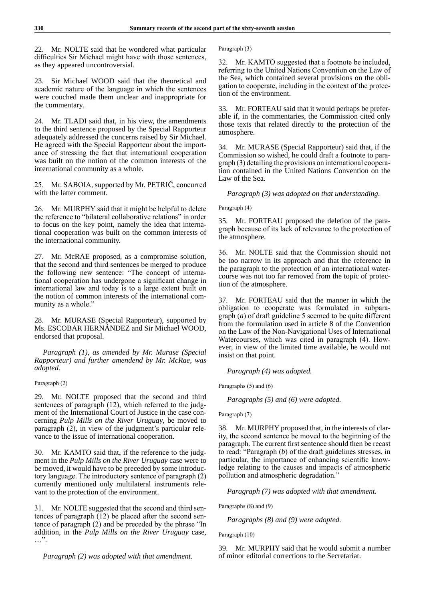22. Mr. NOLTE said that he wondered what particular difficulties Sir Michael might have with those sentences, as they appeared uncontroversial.

23. Sir Michael WOOD said that the theoretical and academic nature of the language in which the sentences were couched made them unclear and inappropriate for the commentary.

24. Mr. TLADI said that, in his view, the amendments to the third sentence proposed by the Special Rapporteur adequately addressed the concerns raised by Sir Michael. He agreed with the Special Rapporteur about the importance of stressing the fact that international cooperation was built on the notion of the common interests of the international community as a whole.

25. Mr. SABOIA, supported by Mr. PETRIČ, concurred with the latter comment.

26. Mr. MURPHY said that it might be helpful to delete the reference to "bilateral collaborative relations" in order to focus on the key point, namely the idea that international cooperation was built on the common interests of the international community.

27. Mr. McRAE proposed, as a compromise solution, that the second and third sentences be merged to produce the following new sentence: "The concept of international cooperation has undergone a significant change in international law and today is to a large extent built on the notion of common interests of the international community as a whole."

28. Mr. MURASE (Special Rapporteur), supported by Ms. ESCOBAR HERNÁNDEZ and Sir Michael WOOD, endorsed that proposal.

*Paragraph (1), as amended by Mr. Murase (Special Rapporteur) and further amendend by Mr. McRae, was adopted.* 

### Paragraph (2)

29. Mr. NOLTE proposed that the second and third sentences of paragraph (12), which referred to the judgment of the International Court of Justice in the case concerning *Pulp Mills on the River Uruguay*, be moved to paragraph (2), in view of the judgment's particular relevance to the issue of international cooperation.

30. Mr. KAMTO said that, if the reference to the judgment in the *Pulp Mills on the River Uruguay* case were to be moved, it would have to be preceded by some introductory language. The introductory sentence of paragraph (2) currently mentioned only multilateral instruments relevant to the protection of the environment.

31. Mr. NOLTE suggested that the second and third sentences of paragraph (12) be placed after the second sentence of paragraph (2) and be preceded by the phrase "In addition, in the *Pulp Mills on the River Uruguay* case,  $\ldots$  ".

*Paragraph (2) was adopted with that amendment.*

Paragraph (3)

32. Mr. KAMTO suggested that a footnote be included, referring to the United Nations Convention on the Law of the Sea, which contained several provisions on the obligation to cooperate, including in the context of the protection of the environment.

33. Mr. FORTEAU said that it would perhaps be preferable if, in the commentaries, the Commission cited only those texts that related directly to the protection of the atmosphere.

34. Mr. MURASE (Special Rapporteur) said that, if the Commission so wished, he could draft a footnote to paragraph (3) detailing the provisions on international cooperation contained in the United Nations Convention on the Law of the Sea.

*Paragraph (3) was adopted on that understanding.*

### Paragraph (4)

35. Mr. FORTEAU proposed the deletion of the paragraph because of its lack of relevance to the protection of the atmosphere.

36. Mr. NOLTE said that the Commission should not be too narrow in its approach and that the reference in the paragraph to the protection of an international watercourse was not too far removed from the topic of protection of the atmosphere.

37. Mr. FORTEAU said that the manner in which the obligation to cooperate was formulated in subparagraph (*a*) of draft guideline 5 seemed to be quite different from the formulation used in article 8 of the Convention on the Law of the Non-Navigational Uses of International Watercourses, which was cited in paragraph (4). However, in view of the limited time available, he would not insist on that point.

*Paragraph (4) was adopted.*

Paragraphs (5) and (6)

*Paragraphs (5) and (6) were adopted.*

### Paragraph (7)

38. Mr. MURPHY proposed that, in the interests of clarity, the second sentence be moved to the beginning of the paragraph. The current first sentence should then be recast to read: "Paragraph (*b*) of the draft guidelines stresses, in particular, the importance of enhancing scientific knowledge relating to the causes and impacts of atmospheric pollution and atmospheric degradation."

*Paragraph (7) was adopted with that amendment.*

Paragraphs (8) and (9)

*Paragraphs (8) and (9) were adopted.*

Paragraph (10)

39. Mr. MURPHY said that he would submit a number of minor editorial corrections to the Secretariat.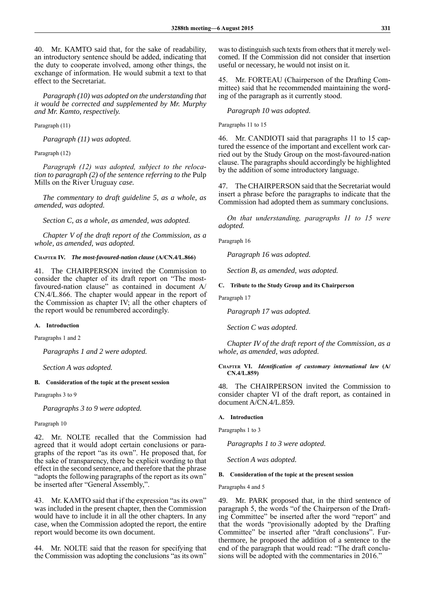40. Mr. KAMTO said that, for the sake of readability, an introductory sentence should be added, indicating that the duty to cooperate involved, among other things, the exchange of information. He would submit a text to that effect to the Secretariat.

*Paragraph (10) was adopted on the understanding that it would be corrected and supplemented by Mr. Murphy and Mr. Kamto, respectively.*

Paragraph (11)

*Paragraph (11) was adopted.*

Paragraph (12)

*Paragraph (12) was adopted, subject to the relocation to paragraph (2) of the sentence referring to the* Pulp Mills on the River Uruguay *case.*

*The commentary to draft guideline 5, as a whole, as amended, was adopted.*

*Section C, as a whole, as amended, was adopted.*

*Chapter V of the draft report of the Commission, as a whole, as amended, was adopted.*

### **Chapter IV.** *The most-favoured-nation clause* **(A/CN.4/L.866)**

41. The CHAIRPERSON invited the Commission to consider the chapter of its draft report on "The mostfavoured-nation clause" as contained in document A/ CN.4/L.866. The chapter would appear in the report of the Commission as chapter IV; all the other chapters of the report would be renumbered accordingly.

### **A. Introduction**

Paragraphs 1 and 2

*Paragraphs 1 and 2 were adopted.*

*Section A was adopted.*

### **B. Consideration of the topic at the present session**

Paragraphs 3 to 9

*Paragraphs 3 to 9 were adopted.*

### Paragraph 10

42. Mr. NOLTE recalled that the Commission had agreed that it would adopt certain conclusions or paragraphs of the report "as its own". He proposed that, for the sake of transparency, there be explicit wording to that effect in the second sentence, and therefore that the phrase "adopts the following paragraphs of the report as its own" be inserted after "General Assembly,".

43. Mr. KAMTO said that if the expression "as its own" was included in the present chapter, then the Commission would have to include it in all the other chapters. In any case, when the Commission adopted the report, the entire report would become its own document.

44. Mr. NOLTE said that the reason for specifying that the Commission was adopting the conclusions "as its own"

was to distinguish such texts from others that it merely welcomed. If the Commission did not consider that insertion useful or necessary, he would not insist on it.

45. Mr. FORTEAU (Chairperson of the Drafting Committee) said that he recommended maintaining the wording of the paragraph as it currently stood.

## *Paragraph 10 was adopted.*

Paragraphs 11 to 15

46. Mr. CANDIOTI said that paragraphs 11 to 15 captured the essence of the important and excellent work carried out by the Study Group on the most-favoured-nation clause. The paragraphs should accordingly be highlighted by the addition of some introductory language.

47. The CHAIRPERSON said that the Secretariat would insert a phrase before the paragraphs to indicate that the Commission had adopted them as summary conclusions.

*On that understanding, paragraphs 11 to 15 were adopted.* 

Paragraph 16

*Paragraph 16 was adopted.*

*Section B, as amended, was adopted.*

**C. Tribute to the Study Group and its Chairperson**

Paragraph 17

*Paragraph 17 was adopted.*

*Section C was adopted.*

*Chapter IV of the draft report of the Commission, as a whole, as amended, was adopted.*

**Chapter VI.** *Identification of customary international law* **(A/ CN.4/L.859)**

48. The CHAIRPERSON invited the Commission to consider chapter VI of the draft report, as contained in document A/CN.4/L.859.

### **A. Introduction**

Paragraphs 1 to 3

*Paragraphs 1 to 3 were adopted.*

*Section A was adopted.*

### **B. Consideration of the topic at the present session**

Paragraphs 4 and 5

49. Mr. PARK proposed that, in the third sentence of paragraph 5, the words "of the Chairperson of the Drafting Committee" be inserted after the word "report" and that the words "provisionally adopted by the Drafting Committee" be inserted after "draft conclusions". Furthermore, he proposed the addition of a sentence to the end of the paragraph that would read: "The draft conclusions will be adopted with the commentaries in 2016."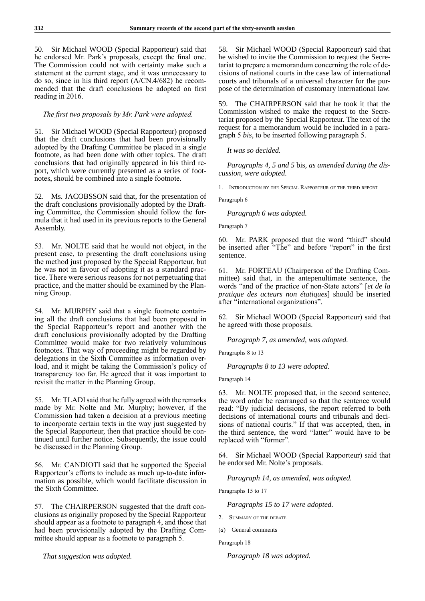50. Sir Michael WOOD (Special Rapporteur) said that he endorsed Mr. Park's proposals, except the final one. The Commission could not with certainty make such a statement at the current stage, and it was unnecessary to do so, since in his third report (A/CN.4/682) he recommended that the draft conclusions be adopted on first reading in 2016.

### *The first two proposals by Mr. Park were adopted.*

51. Sir Michael WOOD (Special Rapporteur) proposed that the draft conclusions that had been provisionally adopted by the Drafting Committee be placed in a single footnote, as had been done with other topics. The draft conclusions that had originally appeared in his third report, which were currently presented as a series of footnotes, should be combined into a single footnote.

52. Ms. JACOBSSON said that, for the presentation of the draft conclusions provisionally adopted by the Drafting Committee, the Commission should follow the formula that it had used in its previous reports to the General Assembly.

53. Mr. NOLTE said that he would not object, in the present case, to presenting the draft conclusions using the method just proposed by the Special Rapporteur, but he was not in favour of adopting it as a standard practice. There were serious reasons for not perpetuating that practice, and the matter should be examined by the Planning Group.

54. Mr. MURPHY said that a single footnote containing all the draft conclusions that had been proposed in the Special Rapporteur's report and another with the draft conclusions provisionally adopted by the Drafting Committee would make for two relatively voluminous footnotes. That way of proceeding might be regarded by delegations in the Sixth Committee as information overload, and it might be taking the Commission's policy of transparency too far. He agreed that it was important to revisit the matter in the Planning Group.

55. Mr.TLADI said that he fully agreed with the remarks made by Mr. Nolte and Mr. Murphy; however, if the Commission had taken a decision at a previous meeting to incorporate certain texts in the way just suggested by the Special Rapporteur, then that practice should be continued until further notice. Subsequently, the issue could be discussed in the Planning Group.

56. Mr. CANDIOTI said that he supported the Special Rapporteur's efforts to include as much up-to-date information as possible, which would facilitate discussion in the Sixth Committee.

57. The CHAIRPERSON suggested that the draft conclusions as originally proposed by the Special Rapporteur should appear as a footnote to paragraph 4, and those that had been provisionally adopted by the Drafting Committee should appear as a footnote to paragraph 5.

*That suggestion was adopted.*

58. Sir Michael WOOD (Special Rapporteur) said that he wished to invite the Commission to request the Secretariat to prepare a memorandum concerning the role of decisions of national courts in the case law of international courts and tribunals of a universal character for the purpose of the determination of customary international law.

59. The CHAIRPERSON said that he took it that the Commission wished to make the request to the Secretariat proposed by the Special Rapporteur. The text of the request for a memorandum would be included in a paragraph 5 *bis*, to be inserted following paragraph 5.

### *It was so decided.*

*Paragraphs 4, 5 and 5* bis*, as amended during the discussion, were adopted.*

1. Introduction by the Special Rapporteur of the third report

Paragraph 6

*Paragraph 6 was adopted.*

Paragraph 7

60. Mr. PARK proposed that the word "third" should be inserted after "The" and before "report" in the first sentence.

61. Mr. FORTEAU (Chairperson of the Drafting Committee) said that, in the antepenultimate sentence, the words "and of the practice of non-State actors" [*et de la pratique des acteurs non étatiques*] should be inserted after "international organizations".

62. Sir Michael WOOD (Special Rapporteur) said that he agreed with those proposals.

*Paragraph 7, as amended, was adopted.*

Paragraphs 8 to 13

*Paragraphs 8 to 13 were adopted.*

Paragraph 14

63. Mr. NOLTE proposed that, in the second sentence, the word order be rearranged so that the sentence would read: "By judicial decisions, the report referred to both decisions of international courts and tribunals and decisions of national courts." If that was accepted, then, in the third sentence, the word "latter" would have to be replaced with "former".

64. Sir Michael WOOD (Special Rapporteur) said that he endorsed Mr. Nolte's proposals.

*Paragraph 14, as amended, was adopted.*

Paragraphs 15 to 17

*Paragraphs 15 to 17 were adopted.*

- 2. Summary of the debate
- (*a*) General comments

Paragraph 18

*Paragraph 18 was adopted.*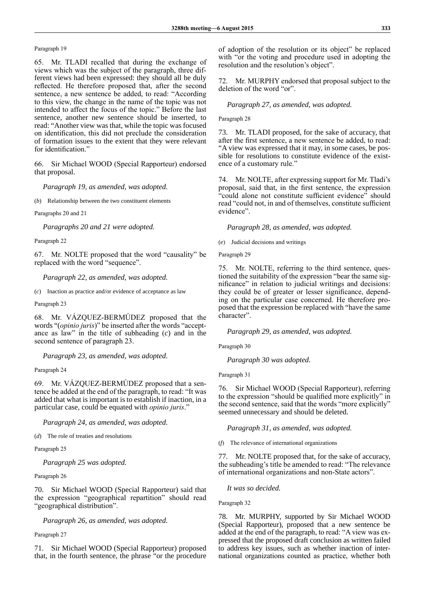Paragraph 19

65. Mr. TLADI recalled that during the exchange of views which was the subject of the paragraph, three different views had been expressed: they should all be duly reflected. He therefore proposed that, after the second sentence, a new sentence be added, to read: "According to this view, the change in the name of the topic was not intended to affect the focus of the topic." Before the last sentence, another new sentence should be inserted, to read: "Another view was that, while the topic was focused on identification, this did not preclude the consideration of formation issues to the extent that they were relevant for identification."

66. Sir Michael WOOD (Special Rapporteur) endorsed that proposal.

*Paragraph 19, as amended, was adopted.*

(*b*) Relationship between the two constituent elements

Paragraphs 20 and 21

*Paragraphs 20 and 21 were adopted.*

Paragraph 22

67. Mr. NOLTE proposed that the word "causality" be replaced with the word "sequence".

*Paragraph 22, as amended, was adopted.*

(*c*) Inaction as practice and/or evidence of acceptance as law

Paragraph 23

68. Mr. VÁZQUEZ-BERMÚDEZ proposed that the words "(*opinio juris*)" be inserted after the words "acceptance as law" in the title of subheading (*c*) and in the second sentence of paragraph 23.

*Paragraph 23, as amended, was adopted.*

Paragraph 24

69. Mr. VÁZQUEZ-BERMÚDEZ proposed that a sentence be added at the end of the paragraph, to read: "It was added that what is important is to establish if inaction, in a particular case, could be equated with *opinio juris*."

*Paragraph 24, as amended, was adopted.*

(*d*) The role of treaties and resolutions

Paragraph 25

*Paragraph 25 was adopted.*

Paragraph 26

70. Sir Michael WOOD (Special Rapporteur) said that the expression "geographical repartition" should read "geographical distribution".

*Paragraph 26, as amended, was adopted.*

Paragraph 27

71. Sir Michael WOOD (Special Rapporteur) proposed that, in the fourth sentence, the phrase "or the procedure of adoption of the resolution or its object" be replaced with "or the voting and procedure used in adopting the resolution and the resolution's object".

72. Mr. MURPHY endorsed that proposal subject to the deletion of the word "or".

# *Paragraph 27, as amended, was adopted.*

### Paragraph 28

73. Mr. TLADI proposed, for the sake of accuracy, that after the first sentence, a new sentence be added, to read: "A view was expressed that it may, in some cases, be possible for resolutions to constitute evidence of the existence of a customary rule."

74. Mr. NOLTE, after expressing support for Mr. Tladi's proposal, said that, in the first sentence, the expression "could alone not constitute sufficient evidence" should read "could not, in and of themselves, constitute sufficient evidence".

*Paragraph 28, as amended, was adopted.*

(*e*) Judicial decisions and writings

Paragraph 29

75. Mr. NOLTE, referring to the third sentence, questioned the suitability of the expression "bear the same significance" in relation to judicial writings and decisions: they could be of greater or lesser significance, depending on the particular case concerned. He therefore proposed that the expression be replaced with "have the same character".

*Paragraph 29, as amended, was adopted.* 

Paragraph 30

*Paragraph 30 was adopted.*

Paragraph 31

76. Sir Michael WOOD (Special Rapporteur), referring to the expression "should be qualified more explicitly" in the second sentence, said that the words "more explicitly" seemed unnecessary and should be deleted.

*Paragraph 31, as amended, was adopted.* 

(*f*) The relevance of international organizations

77. Mr. NOLTE proposed that, for the sake of accuracy, the subheading's title be amended to read: "The relevance of international organizations and non-State actors".

*It was so decided.*

Paragraph 32

78. Mr. MURPHY, supported by Sir Michael WOOD (Special Rapporteur), proposed that a new sentence be added at the end of the paragraph, to read: "A view was expressed that the proposed draft conclusion as written failed to address key issues, such as whether inaction of international organizations counted as practice, whether both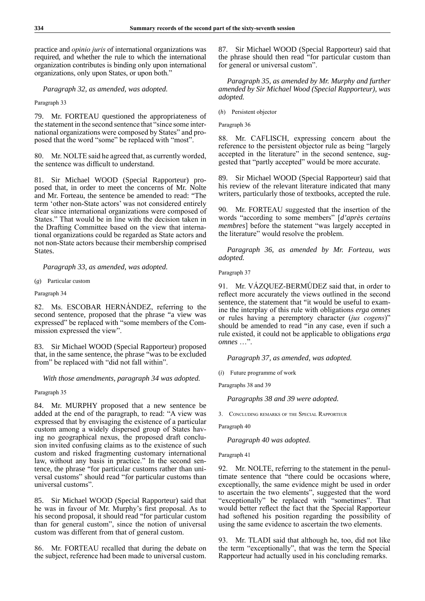practice and *opinio juris* of international organizations was required, and whether the rule to which the international organization contributes is binding only upon international organizations, only upon States, or upon both."

*Paragraph 32, as amended, was adopted.*

Paragraph 33

79. Mr. FORTEAU questioned the appropriateness of the statement in the second sentence that "since some international organizations were composed by States" and proposed that the word "some" be replaced with "most".

80. Mr. NOLTE said he agreed that, as currently worded, the sentence was difficult to understand.

81. Sir Michael WOOD (Special Rapporteur) proposed that, in order to meet the concerns of Mr. Nolte and Mr. Forteau, the sentence be amended to read: "The term 'other non-State actors' was not considered entirely clear since international organizations were composed of States." That would be in line with the decision taken in the Drafting Committee based on the view that international organizations could be regarded as State actors and not non-State actors because their membership comprised States.

*Paragraph 33, as amended, was adopted.*

(*g*) Particular custom

Paragraph 34

82. Ms. ESCOBAR HERNÁNDEZ, referring to the second sentence, proposed that the phrase "a view was expressed" be replaced with "some members of the Commission expressed the view".

83. Sir Michael WOOD (Special Rapporteur) proposed that, in the same sentence, the phrase "was to be excluded from" be replaced with "did not fall within".

*With those amendments, paragraph 34 was adopted.*

Paragraph 35

84. Mr. MURPHY proposed that a new sentence be added at the end of the paragraph, to read: "A view was expressed that by envisaging the existence of a particular custom among a widely dispersed group of States having no geographical nexus, the proposed draft conclusion invited confusing claims as to the existence of such custom and risked fragmenting customary international law, without any basis in practice." In the second sentence, the phrase "for particular customs rather than universal customs" should read "for particular customs than universal customs".

85. Sir Michael WOOD (Special Rapporteur) said that he was in favour of Mr. Murphy's first proposal. As to his second proposal, it should read "for particular custom than for general custom", since the notion of universal custom was different from that of general custom.

86. Mr. FORTEAU recalled that during the debate on the subject, reference had been made to universal custom.

87. Sir Michael WOOD (Special Rapporteur) said that the phrase should then read "for particular custom than for general or universal custom".

*Paragraph 35, as amended by Mr. Murphy and further amended by Sir Michael Wood (Special Rapporteur), was adopted.*

(*h*) Persistent objector

Paragraph 36

88. Mr. CAFLISCH, expressing concern about the reference to the persistent objector rule as being "largely accepted in the literature" in the second sentence, suggested that "partly accepted" would be more accurate.

89. Sir Michael WOOD (Special Rapporteur) said that his review of the relevant literature indicated that many writers, particularly those of textbooks, accepted the rule.

90. Mr. FORTEAU suggested that the insertion of the words "according to some members" [*d'après certains membres*] before the statement "was largely accepted in the literature" would resolve the problem.

*Paragraph 36, as amended by Mr. Forteau, was adopted.*

Paragraph 37

91. Mr. VÁZQUEZ-BERMÚDEZ said that, in order to reflect more accurately the views outlined in the second sentence, the statement that "it would be useful to examine the interplay of this rule with obligations *erga omnes* or rules having a peremptory character (*jus cogens*)" should be amended to read "in any case, even if such a rule existed, it could not be applicable to obligations *erga omnes* …".

*Paragraph 37, as amended, was adopted.*

(*i*) Future programme of work

Paragraphs 38 and 39

*Paragraphs 38 and 39 were adopted.*

3. Concluding remarks of the Special Rapporteur

Paragraph 40

*Paragraph 40 was adopted.*

Paragraph 41

92. Mr. NOLTE, referring to the statement in the penultimate sentence that "there could be occasions where, exceptionally, the same evidence might be used in order to ascertain the two elements", suggested that the word "exceptionally" be replaced with "sometimes". That would better reflect the fact that the Special Rapporteur had softened his position regarding the possibility of using the same evidence to ascertain the two elements.

93. Mr. TLADI said that although he, too, did not like the term "exceptionally", that was the term the Special Rapporteur had actually used in his concluding remarks.